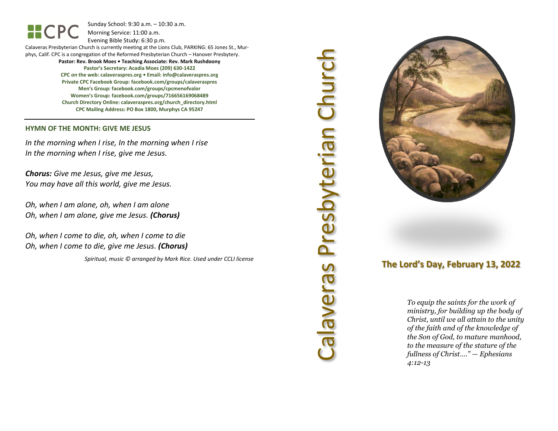Sunday School: 9: 3 0 a.m. – 10:30 a.m. Morning Service: 1 1 :00 a.m.

Evening Bible Study: 6: 30 p.m.

Calaveras Presbyterian Church is currently meeting at the Lions Club, PARKING: 65 Jones St., Murphys, Calif. CPC is a congregation of the Reformed Presbyterian Church – Hanover Presbytery. **Pastor: Rev. Brook Moes • Teaching Associate: Rev. Mark Rushdoony Pastor's Secretary: Acadia Moes (209) 630 -1422 CPC on the web: calaveraspres.org • Email: [info@calaveraspres.org](mailto:info@calaveraspres.org)**

**Private CPC Facebook Group: facebook.com/groups/calaveraspres Men's Group: facebook.com/groups/cpcmenofvalor Women's Group: facebook.com/groups/716656169068489 Church Directory Online: calaveraspres.org/church \_directory.html CPC Mailing Address: PO Box 1800, Murphys CA 95247**

### **HYMN OF THE MONTH: GIVE ME JESUS**

HCPC

*In the morning when I rise, In the morning when I rise In the morning when I rise, give me Jesus .*

*Chorus: Give me Jesus, give me Jesus, You may have all this world, give me Jesus .*

*Oh, when I am alone, oh, when I am alone Oh, when I am alone, give me Jesus . (Chorus)*

*Oh, when I come to die, oh, when I come to die Oh, when I come to die, give me Jesus . (Chorus)*

*Spiritual, music © arranged by Mark Rice. Used under CCLI license*

# Calaveras Presbyterian Church Calaveras Presbyterian Churcl



# **The Lord's Day, February 13, 202 2**

*To equip the saints for the work of ministry, for building up the body of Christ, until we all attain to the unity of the faith and of the knowledge of the Son of God, to mature manhood, to the measure of the stature of the fullness of Christ…." — Ephesians 4:12 -13*